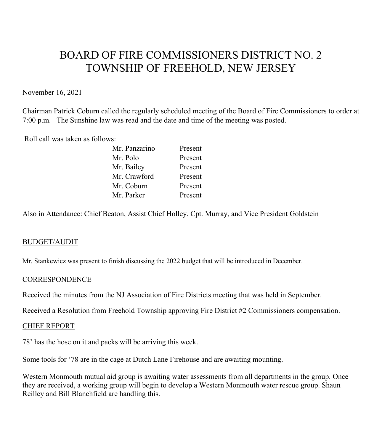# BOARD OF FIRE COMMISSIONERS DISTRICT NO. 2 TOWNSHIP OF FREEHOLD, NEW JERSEY

November 16, 2021

Chairman Patrick Coburn called the regularly scheduled meeting of the Board of Fire Commissioners to order at 7:00 p.m. The Sunshine law was read and the date and time of the meeting was posted.

Roll call was taken as follows:

| Present |
|---------|
| Present |
| Present |
| Present |
| Present |
| Present |
|         |

Also in Attendance: Chief Beaton, Assist Chief Holley, Cpt. Murray, and Vice President Goldstein

## BUDGET/AUDIT

Mr. Stankewicz was present to finish discussing the 2022 budget that will be introduced in December.

#### **CORRESPONDENCE**

Received the minutes from the NJ Association of Fire Districts meeting that was held in September.

Received a Resolution from Freehold Township approving Fire District #2 Commissioners compensation.

#### CHIEF REPORT

78' has the hose on it and packs will be arriving this week.

Some tools for '78 are in the cage at Dutch Lane Firehouse and are awaiting mounting.

Western Monmouth mutual aid group is awaiting water assessments from all departments in the group. Once they are received, a working group will begin to develop a Western Monmouth water rescue group. Shaun Reilley and Bill Blanchfield are handling this.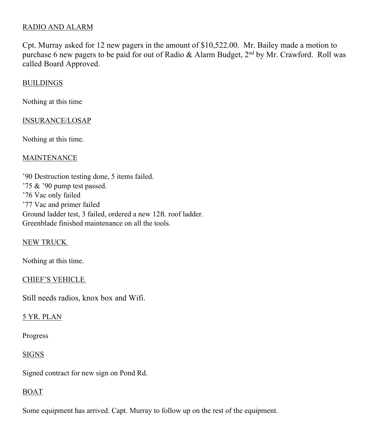## RADIO AND ALARM

Cpt. Murray asked for 12 new pagers in the amount of \$10,522.00. Mr. Bailey made a motion to purchase 6 new pagers to be paid for out of Radio & Alarm Budget, 2<sup>nd</sup> by Mr. Crawford. Roll was called Board Approved.

## **BUILDINGS**

Nothing at this time

#### INSURANCE/LOSAP

Nothing at this time.

#### **MAINTENANCE**

'90 Destruction testing done, 5 items failed. '75 & '90 pump test passed. '76 Vac only failed '77 Vac and primer failed Ground ladder test, 3 failed, ordered a new 12ft. roof ladder. Greenblade finished maintenance on all the tools.

## NEW TRUCK

Nothing at this time.

#### CHIEF'S VEHICLE

Still needs radios, knox box and Wifi.

## 5 YR. PLAN

Progress

## SIGNS

Signed contract for new sign on Pond Rd.

## BOAT

Some equipment has arrived. Capt. Murray to follow up on the rest of the equipment.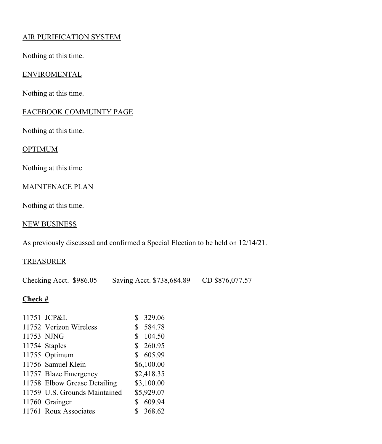# AIR PURIFICATION SYSTEM

Nothing at this time.

## ENVIROMENTAL

Nothing at this time.

## FACEBOOK COMMUINTY PAGE

Nothing at this time.

# **OPTIMUM**

Nothing at this time

## MAINTENACE PLAN

Nothing at this time.

## NEW BUSINESS

As previously discussed and confirmed a Special Election to be held on 12/14/21.

# TREASURER

Checking Acct. \$986.05 Saving Acct. \$738,684.89 CD \$876,077.57

## **Check #**

| 11751 JCP&L                   | 329.06       |
|-------------------------------|--------------|
| 11752 Verizon Wireless        | \$584.78     |
| 11753 NJNG                    | \$<br>104.50 |
| 11754 Staples                 | \$260.95     |
| 11755 Optimum                 | \$605.99     |
| 11756 Samuel Klein            | \$6,100.00   |
| 11757 Blaze Emergency         | \$2,418.35   |
| 11758 Elbow Grease Detailing  | \$3,100.00   |
| 11759 U.S. Grounds Maintained | \$5,929.07   |
| 11760 Grainger                | 609.94       |
| 11761 Roux Associates         | 368.62       |